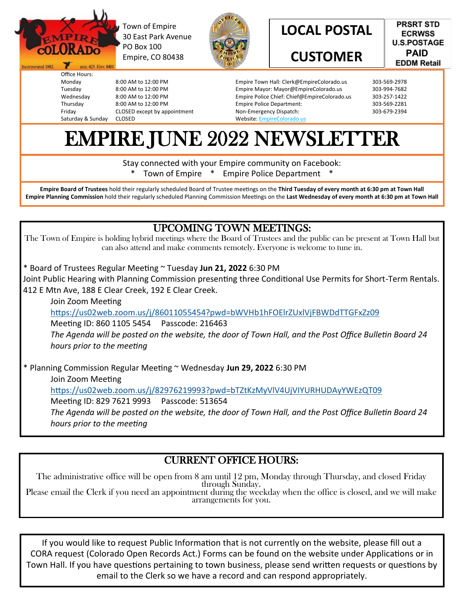

Incorporated 1882

Office Hours:

Monday 8:00 AM to 12:00 PM Tuesday 8:00 AM to 12:00 PM

Thursday 8:00 AM to 12:00 PM

Saturday & Sunday CLOSED

pop. 425 Elev. 8401

Friday CLOSED except by appointment

Town of Empire 30 East Park Avenue PO Box 100 Empire, CO 80438

8:00 AM to 12:00 PM



**LOCAL POSTAL**

## **CUSTOMER**

Empire Town Hall: Clerk@EmpireColorado.us 303-569-2978 Empire Mayor: Mayor@EmpireColorado.us 303-994-7682 Empire Police Chief: Chief@EmpireColorado.us 303-257-1422 Empire Police Department: Non-Emergency Dispatch: 303-679-2394

**PRSRT STD ECRWSS** 

**U.S.POSTAGE PAID EDDM Retail** 

Website: EmpireColorado.us

# EMPIRE JUNE 2022 NEWSLETTER

Stay connected with your Empire community on Facebook:

Town of Empire \* Empire Police Department

**Empire Board of Trustees** hold their regularly scheduled Board of Trustee meetings on the **Third Tuesday of every month at 6:30 pm at Town Hall Empire Planning Commission** hold their regularly scheduled Planning Commission Meetings on the **Last Wednesday of every month at 6:30 pm at Town Hall**

#### UPCOMING TOWN MEETINGS:

The Town of Empire is holding hybrid meetings where the Board of Trustees and the public can be present at Town Hall but can also attend and make comments remotely. Everyone is welcome to tune in.

\* Board of Trustees Regular Meeting ~ Tuesday **Jun 21, 2022** 6:30 PM

Joint Public Hearing with Planning Commission presenting three Conditional Use Permits for Short-Term Rentals. 412 E Mtn Ave, 188 E Clear Creek, 192 E Clear Creek.

Join Zoom Meeting <https://us02web.zoom.us/j/86011055454?pwd=bWVHb1hFOElrZUxlVjFBWDdTTGFxZz09> Meeting ID: 860 1105 5454 Passcode: 216463 *The Agenda will be posted on the website, the door of Town Hall, and the Post Office Bulletin Board 24 hours prior to the meeting*

\* Planning Commission Regular Meeting ~ Wednesday **Jun 29, 2022** 6:30 PM Join Zoom Meeting <https://us02web.zoom.us/j/82976219993?pwd=bTZtKzMyVlV4UjVIYURHUDAyYWEzQT09> Meeting ID: 829 7621 9993 Passcode: 513654 *The Agenda will be posted on the website, the door of Town Hall, and the Post Office Bulletin Board 24 hours prior to the meeting*

### CURRENT OFFICE HOURS:

The administrative office will be open from 8 am until 12 pm, Monday through Thursday, and closed Friday through Sunday. Please email the Clerk if you need an appointment during the weekday when the office is closed, and we will make arrangements for you.

If you would like to request Public Information that is not currently on the website, please fill out a CORA request (Colorado Open Records Act.) Forms can be found on the website under Applications or in Town Hall. If you have questions pertaining to town business, please send written requests or questions by email to the Clerk so we have a record and can respond appropriately.